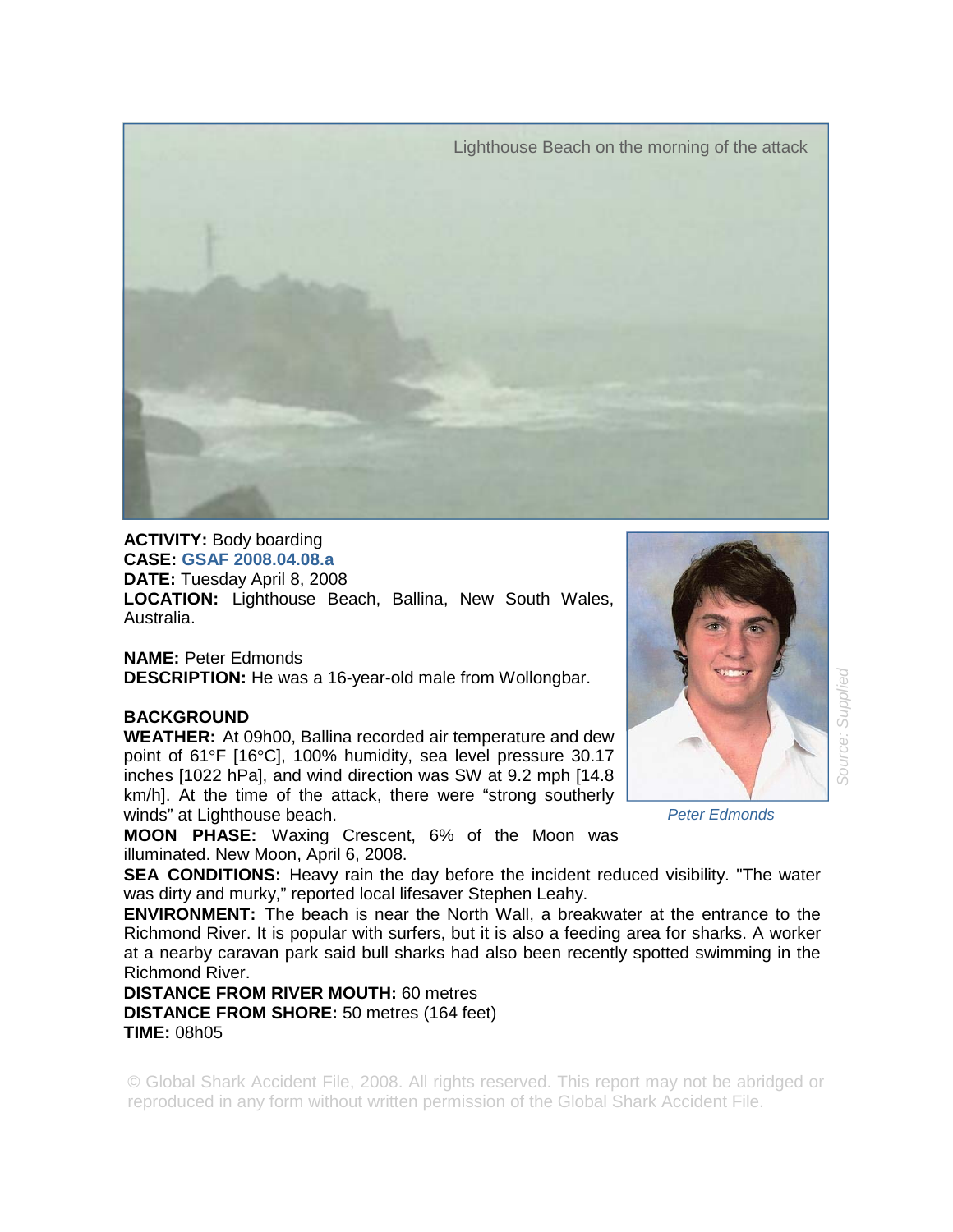Lighthouse Beach on the morning of the attack



**ACTIVITY:** Body boarding **CASE: GSAF 2008.04.08.a DATE:** Tuesday April 8, 2008 **LOCATION:** Lighthouse Beach, Ballina, New South Wales, Australia.

**NAME:** Peter Edmonds **DESCRIPTION:** He was a 16-year-old male from Wollongbar.

## **BACKGROUND**

**WEATHER:** At 09h00, Ballina recorded air temperature and dew point of 61°F [16°C], 100% humidity, sea level pressure 30.17 inches [1022 hPa], and wind direction was SW at 9.2 mph [14.8 km/h]. At the time of the attack, there were "strong southerly winds" at Lighthouse beach.

**MOON PHASE:** Waxing Crescent, 6% of the Moon was illuminated. New Moon, April 6, 2008.

**SEA CONDITIONS:** Heavy rain the day before the incident reduced visibility. "The water was dirty and murky," reported local lifesaver Stephen Leahy.

**ENVIRONMENT:** The beach is near the North Wall, a breakwater at the entrance to the Richmond River. It is popular with surfers, but it is also a feeding area for sharks. A worker at a nearby caravan park said bull sharks had also been recently spotted swimming in the Richmond River.

**DISTANCE FROM RIVER MOUTH:** 60 metres **DISTANCE FROM SHORE:** 50 metres (164 feet) **TIME:** 08h05

© Global Shark Accident File, 2008. All rights reserved. This report may not be abridged or reproduced in any form without written permission of the Global Shark Accident File.



*Peter Edmonds*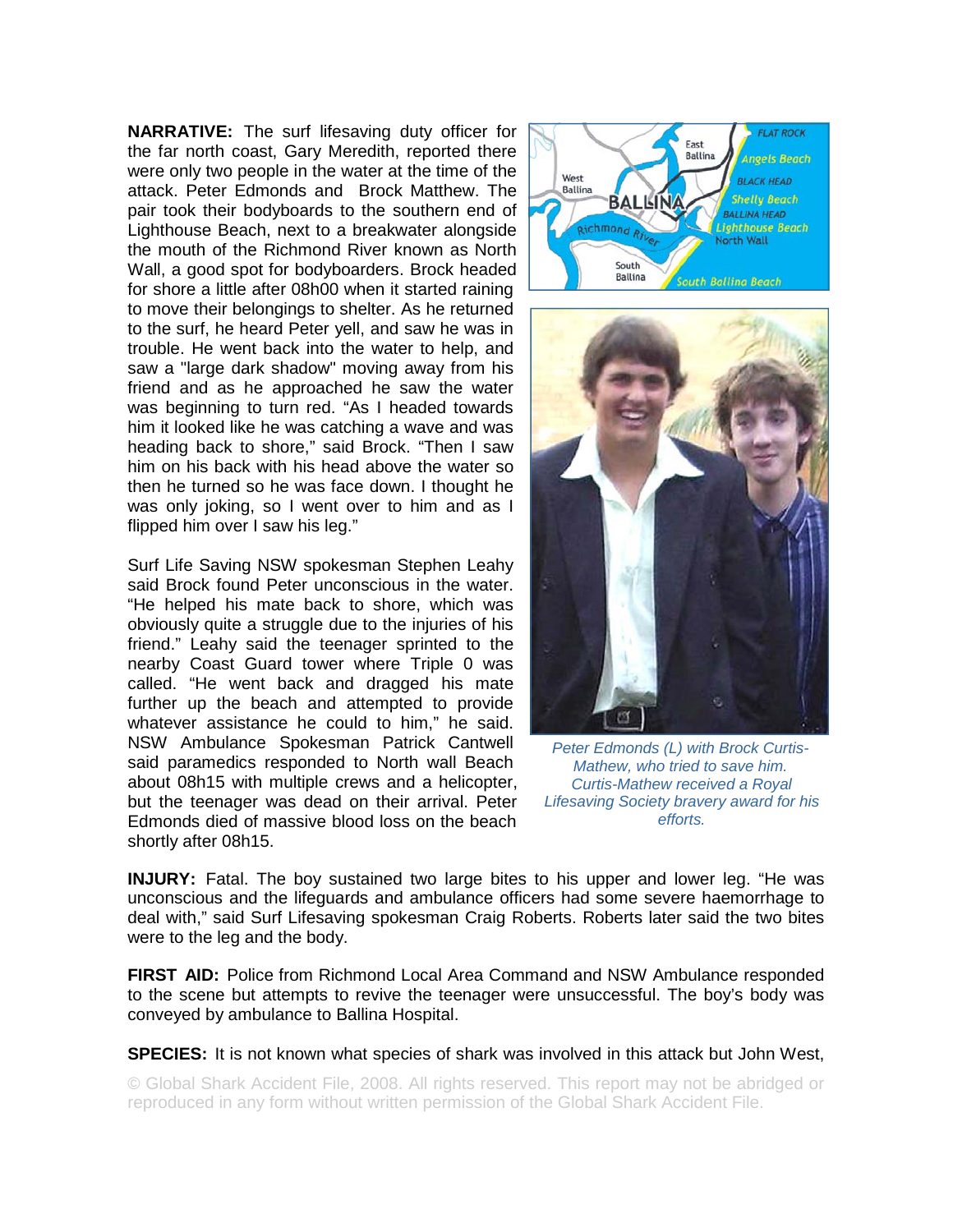**NARRATIVE:** The surf lifesaving duty officer for the far north coast, Gary Meredith, reported there were only two people in the water at the time of the attack. Peter Edmonds and Brock Matthew. The pair took their bodyboards to the southern end of Lighthouse Beach, next to a breakwater alongside the mouth of the Richmond River known as North Wall, a good spot for bodyboarders. Brock headed for shore a little after 08h00 when it started raining to move their belongings to shelter. As he returned to the surf, he heard Peter yell, and saw he was in trouble. He went back into the water to help, and saw a "large dark shadow" moving away from his friend and as he approached he saw the water was beginning to turn red. "As I headed towards him it looked like he was catching a wave and was heading back to shore," said Brock. "Then I saw him on his back with his head above the water so then he turned so he was face down. I thought he was only joking, so I went over to him and as I flipped him over I saw his leg."

Surf Life Saving NSW spokesman Stephen Leahy said Brock found Peter unconscious in the water. "He helped his mate back to shore, which was obviously quite a struggle due to the injuries of his friend." Leahy said the teenager sprinted to the nearby Coast Guard tower where Triple 0 was called. "He went back and dragged his mate further up the beach and attempted to provide whatever assistance he could to him," he said. NSW Ambulance Spokesman Patrick Cantwell said paramedics responded to North wall Beach about 08h15 with multiple crews and a helicopter, but the teenager was dead on their arrival. Peter Edmonds died of massive blood loss on the beach shortly after 08h15.





*Peter Edmonds (L) with Brock Curtis-Mathew, who tried to save him. Curtis-Mathew received a Royal Lifesaving Society bravery award for his efforts.* 

**INJURY:** Fatal. The boy sustained two large bites to his upper and lower leg. "He was unconscious and the lifeguards and ambulance officers had some severe haemorrhage to deal with," said Surf Lifesaving spokesman Craig Roberts. Roberts later said the two bites were to the leg and the body.

**FIRST AID:** Police from Richmond Local Area Command and NSW Ambulance responded to the scene but attempts to revive the teenager were unsuccessful. The boy's body was conveyed by ambulance to Ballina Hospital.

**SPECIES:** It is not known what species of shark was involved in this attack but John West,

© Global Shark Accident File, 2008. All rights reserved. This report may not be abridged or reproduced in any form without written permission of the Global Shark Accident File.